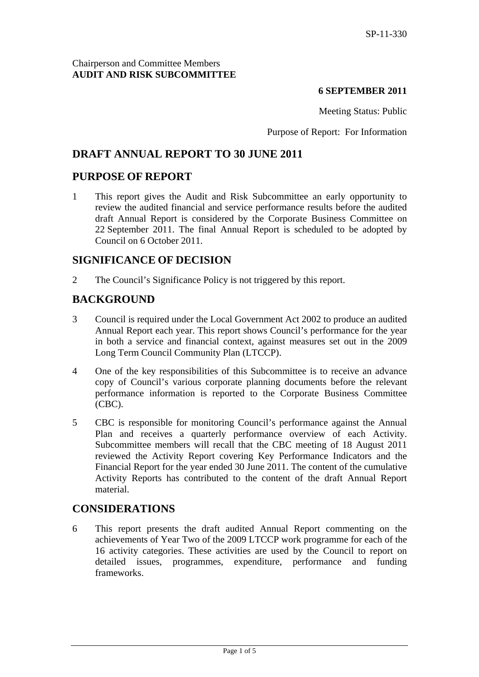### **6 SEPTEMBER 2011**

Meeting Status: Public

Purpose of Report: For Information

## **DRAFT ANNUAL REPORT TO 30 JUNE 2011**

## **PURPOSE OF REPORT**

1 This report gives the Audit and Risk Subcommittee an early opportunity to review the audited financial and service performance results before the audited draft Annual Report is considered by the Corporate Business Committee on 22 September 2011. The final Annual Report is scheduled to be adopted by Council on 6 October 2011.

## **SIGNIFICANCE OF DECISION**

2 The Council's Significance Policy is not triggered by this report.

## **BACKGROUND**

- 3 Council is required under the Local Government Act 2002 to produce an audited Annual Report each year. This report shows Council's performance for the year in both a service and financial context, against measures set out in the 2009 Long Term Council Community Plan (LTCCP).
- 4 One of the key responsibilities of this Subcommittee is to receive an advance copy of Council's various corporate planning documents before the relevant performance information is reported to the Corporate Business Committee (CBC).
- 5 CBC is responsible for monitoring Council's performance against the Annual Plan and receives a quarterly performance overview of each Activity. Subcommittee members will recall that the CBC meeting of 18 August 2011 reviewed the Activity Report covering Key Performance Indicators and the Financial Report for the year ended 30 June 2011. The content of the cumulative Activity Reports has contributed to the content of the draft Annual Report material.

## **CONSIDERATIONS**

6 This report presents the draft audited Annual Report commenting on the achievements of Year Two of the 2009 LTCCP work programme for each of the 16 activity categories. These activities are used by the Council to report on detailed issues, programmes, expenditure, performance and funding frameworks.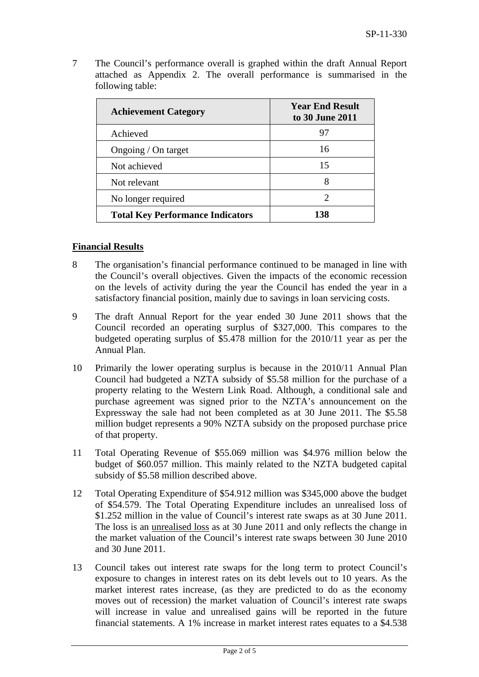| <b>Achievement Category</b>             | <b>Year End Result</b><br>to 30 June 2011 |  |
|-----------------------------------------|-------------------------------------------|--|
| Achieved                                | 97                                        |  |
| Ongoing / On target                     | 16                                        |  |
| Not achieved                            | 15                                        |  |
| Not relevant                            | 8                                         |  |
| No longer required                      | $\mathcal{D}_{\mathcal{A}}$               |  |
| <b>Total Key Performance Indicators</b> | 138                                       |  |

7 The Council's performance overall is graphed within the draft Annual Report attached as Appendix 2. The overall performance is summarised in the following table:

## **Financial Results**

- 8 The organisation's financial performance continued to be managed in line with the Council's overall objectives. Given the impacts of the economic recession on the levels of activity during the year the Council has ended the year in a satisfactory financial position, mainly due to savings in loan servicing costs.
- 9 The draft Annual Report for the year ended 30 June 2011 shows that the Council recorded an operating surplus of \$327,000. This compares to the budgeted operating surplus of \$5.478 million for the 2010/11 year as per the Annual Plan.
- 10 Primarily the lower operating surplus is because in the 2010/11 Annual Plan Council had budgeted a NZTA subsidy of \$5.58 million for the purchase of a property relating to the Western Link Road. Although, a conditional sale and purchase agreement was signed prior to the NZTA's announcement on the Expressway the sale had not been completed as at 30 June 2011. The \$5.58 million budget represents a 90% NZTA subsidy on the proposed purchase price of that property.
- 11 Total Operating Revenue of \$55.069 million was \$4.976 million below the budget of \$60.057 million. This mainly related to the NZTA budgeted capital subsidy of \$5.58 million described above.
- 12 Total Operating Expenditure of \$54.912 million was \$345,000 above the budget of \$54.579. The Total Operating Expenditure includes an unrealised loss of \$1.252 million in the value of Council's interest rate swaps as at 30 June 2011. The loss is an unrealised loss as at 30 June 2011 and only reflects the change in the market valuation of the Council's interest rate swaps between 30 June 2010 and 30 June 2011.
- 13 Council takes out interest rate swaps for the long term to protect Council's exposure to changes in interest rates on its debt levels out to 10 years. As the market interest rates increase, (as they are predicted to do as the economy moves out of recession) the market valuation of Council's interest rate swaps will increase in value and unrealised gains will be reported in the future financial statements. A 1% increase in market interest rates equates to a \$4.538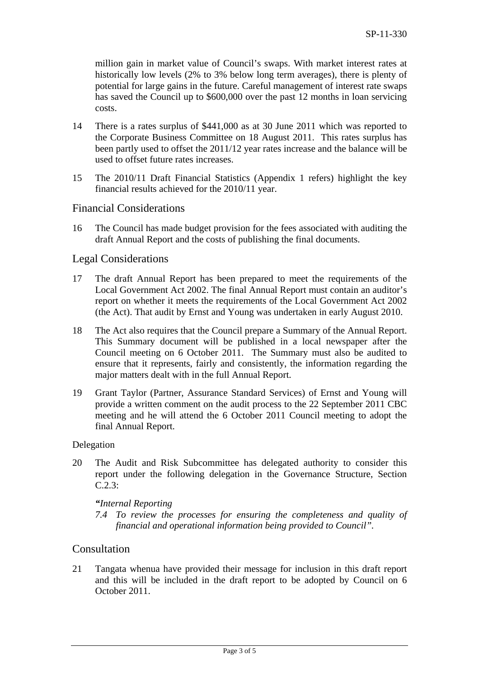million gain in market value of Council's swaps. With market interest rates at historically low levels (2% to 3% below long term averages), there is plenty of potential for large gains in the future. Careful management of interest rate swaps has saved the Council up to \$600,000 over the past 12 months in loan servicing costs.

- 14 There is a rates surplus of \$441,000 as at 30 June 2011 which was reported to the Corporate Business Committee on 18 August 2011. This rates surplus has been partly used to offset the 2011/12 year rates increase and the balance will be used to offset future rates increases.
- 15 The 2010/11 Draft Financial Statistics (Appendix 1 refers) highlight the key financial results achieved for the 2010/11 year.

## Financial Considerations

16 The Council has made budget provision for the fees associated with auditing the draft Annual Report and the costs of publishing the final documents.

#### Legal Considerations

- 17 The draft Annual Report has been prepared to meet the requirements of the Local Government Act 2002. The final Annual Report must contain an auditor's report on whether it meets the requirements of the Local Government Act 2002 (the Act). That audit by Ernst and Young was undertaken in early August 2010.
- 18 The Act also requires that the Council prepare a Summary of the Annual Report. This Summary document will be published in a local newspaper after the Council meeting on 6 October 2011. The Summary must also be audited to ensure that it represents, fairly and consistently, the information regarding the major matters dealt with in the full Annual Report.
- 19 Grant Taylor (Partner, Assurance Standard Services) of Ernst and Young will provide a written comment on the audit process to the 22 September 2011 CBC meeting and he will attend the 6 October 2011 Council meeting to adopt the final Annual Report.

#### Delegation

20 The Audit and Risk Subcommittee has delegated authority to consider this report under the following delegation in the Governance Structure, Section C.2.3:

#### *"Internal Reporting*

*7.4 To review the processes for ensuring the completeness and quality of financial and operational information being provided to Council".* 

#### Consultation

21 Tangata whenua have provided their message for inclusion in this draft report and this will be included in the draft report to be adopted by Council on 6 October 2011.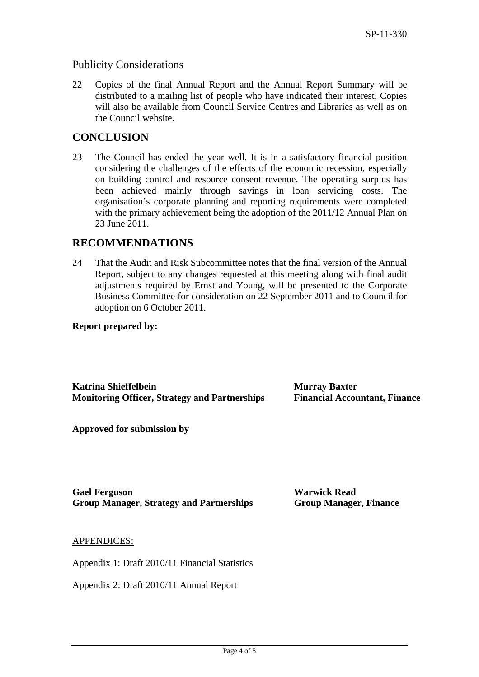## Publicity Considerations

22 Copies of the final Annual Report and the Annual Report Summary will be distributed to a mailing list of people who have indicated their interest. Copies will also be available from Council Service Centres and Libraries as well as on the Council website.

## **CONCLUSION**

23 The Council has ended the year well. It is in a satisfactory financial position considering the challenges of the effects of the economic recession, especially on building control and resource consent revenue. The operating surplus has been achieved mainly through savings in loan servicing costs. The organisation's corporate planning and reporting requirements were completed with the primary achievement being the adoption of the 2011/12 Annual Plan on 23 June 2011.

## **RECOMMENDATIONS**

24 That the Audit and Risk Subcommittee notes that the final version of the Annual Report, subject to any changes requested at this meeting along with final audit adjustments required by Ernst and Young, will be presented to the Corporate Business Committee for consideration on 22 September 2011 and to Council for adoption on 6 October 2011.

#### **Report prepared by:**

**Katrina Shieffelbein** Murray Baxter **Monitoring Officer, Strategy and Partnerships Financial Accountant, Finance** 

**Approved for submission by** 

**Gael Ferguson Warwick Read Group Manager, Strategy and Partnerships Group Manager, Finance** 

#### APPENDICES:

Appendix 1: Draft 2010/11 Financial Statistics

Appendix 2: Draft 2010/11 Annual Report